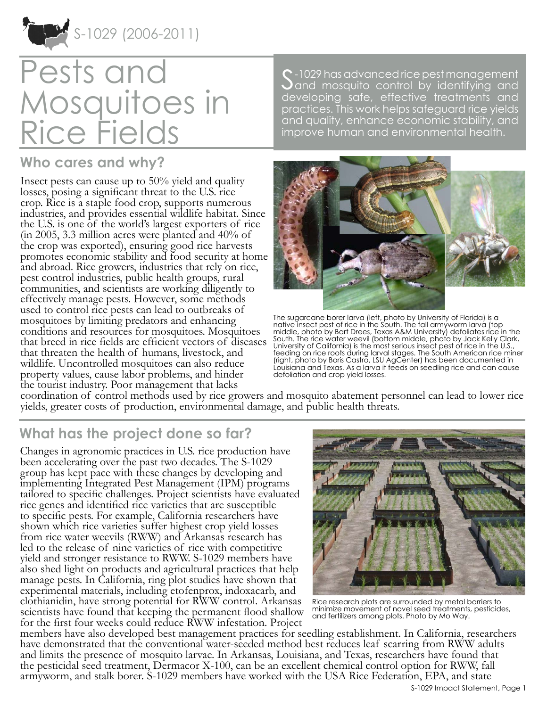

# Pests and Mosquitoes in Rice Fields

S-1029 has advanced rice pest management and mosquito control by identifying and developing safe, effective treatments and practices. This work helps safeguard rice yields and quality, enhance economic stability, and improve human and environmental health.

## **Who cares and why?**

Insect pests can cause up to 50% yield and quality losses, posing a significant threat to the U.S. rice crop. Rice is a staple food crop, supports numerous industries, and provides essential wildlife habitat. Since the U.S. is one of the world's largest exporters of rice (in 2005, 3.3 million acres were planted and 40% of the crop was exported), ensuring good rice harvests promotes economic stability and food security at home and abroad. Rice growers, industries that rely on rice, pest control industries, public health groups, rural communities, and scientists are working diligently to effectively manage pests. However, some methods used to control rice pests can lead to outbreaks of mosquitoes by limiting predators and enhancing conditions and resources for mosquitoes. Mosquitoes that breed in rice fields are efficient vectors of diseases that threaten the health of humans, livestock, and wildlife. Uncontrolled mosquitoes can also reduce property values, cause labor problems, and hinder the tourist industry. Poor management that lacks



The sugarcane borer larva (left, photo by University of Florida) is a native insect pest of rice in the South. The fall armyworm larva (top middle, photo by Bart Drees, Texas A&M University) defoliates rice in the South. The rice water weevil (bottom middle, photo by Jack Kelly Clark, University of California) is the most serious insect pest of rice in the U.S., feeding on rice roots during larval stages. The South American rice miner (right, photo by Boris Castro, LSU AgCenter) has been documented in Louisiana and Texas. As a larva it feeds on seedling rice and can cause defoliation and crop yield losses.

coordination of control methods used by rice growers and mosquito abatement personnel can lead to lower rice yields, greater costs of production, environmental damage, and public health threats.

## **What has the project done so far?**

Changes in agronomic practices in U.S. rice production have been accelerating over the past two decades. The S-1029 group has kept pace with these changes by developing and implementing Integrated Pest Management (IPM) programs tailored to specific challenges. Project scientists have evaluated rice genes and identified rice varieties that are susceptible to specific pests. For example, California researchers have shown which rice varieties suffer highest crop yield losses from rice water weevils (RWW) and Arkansas research has led to the release of nine varieties of rice with competitive yield and stronger resistance to RWW. S-1029 members have also shed light on products and agricultural practices that help manage pests. In California, ring plot studies have shown that experimental materials, including etofenprox, indoxacarb, and clothianidin, have strong potential for RWW control. Arkansas scientists have found that keeping the permanent flood shallow for the first four weeks could reduce RWW infestation. Project



Rice research plots are surrounded by metal barriers to minimize movement of novel seed treatments, pesticides, and fertilizers among plots. Photo by Mo Way.

members have also developed best management practices for seedling establishment. In California, researchers have demonstrated that the conventional water-seeded method best reduces leaf scarring from RWW adults and limits the presence of mosquito larvae. In Arkansas, Louisiana, and Texas, researchers have found that the pesticidal seed treatment, Dermacor X-100, can be an excellent chemical control option for RWW, fall armyworm, and stalk borer. S-1029 members have worked with the USA Rice Federation, EPA, and state